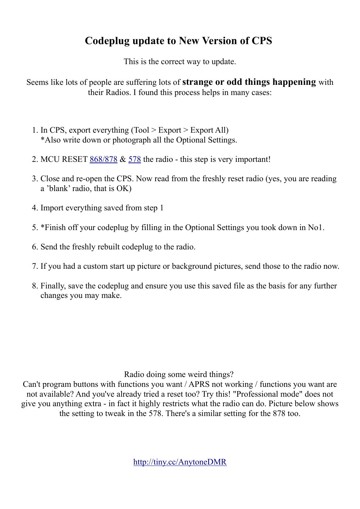## **Codeplug update to New Version of CPS**

This is the correct way to update.

Seems like lots of people are suffering lots of **strange or odd things happening** with their Radios. I found this process helps in many cases:

- 1. In CPS, export everything (Tool > Export > Export All) \*Also write down or photograph all the Optional Settings.
- 2. MCU RESET [868/878](http://hamradio.joomla.com/images/Anytone/MCU_Reset__868__878.pdf) & [578](http://hamradio.joomla.com/images/Anytone/D578UV_FW_and_MCU_Reset.pdf) the radio this step is very important!
- 3. Close and re-open the CPS. Now read from the freshly reset radio (yes, you are reading a 'blank' radio, that is OK)
- 4. Import everything saved from step 1
- 5. \*Finish off your codeplug by filling in the Optional Settings you took down in No1.
- 6. Send the freshly rebuilt codeplug to the radio.
- 7. If you had a custom start up picture or background pictures, send those to the radio now.
- 8. Finally, save the codeplug and ensure you use this saved file as the basis for any further changes you may make.

## Radio doing some weird things?

Can't program buttons with functions you want / APRS not working / functions you want are not available? And you've already tried a reset too? Try this! "Professional mode" does not give you anything extra - in fact it highly restricts what the radio can do. Picture below shows the setting to tweak in the 578. There's a similar setting for the 878 too.